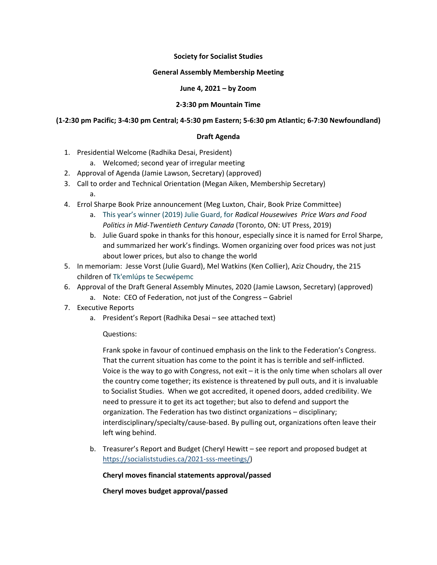# **Society for Socialist Studies**

## **General Assembly Membership Meeting**

# **June 4, 2021 – by Zoom**

# **2-3:30 pm Mountain Time**

# **(1-2:30 pm Pacific; 3-4:30 pm Central; 4-5:30 pm Eastern; 5-6:30 pm Atlantic; 6-7:30 Newfoundland)**

## **Draft Agenda**

- 1. Presidential Welcome (Radhika Desai, President)
	- a. Welcomed; second year of irregular meeting
- 2. Approval of Agenda (Jamie Lawson, Secretary) (approved)
- 3. Call to order and Technical Orientation (Megan Aiken, Membership Secretary)
	- a.
- 4. Errol Sharpe Book Prize announcement (Meg Luxton, Chair, Book Prize Committee)
	- a. This year's winner (2019) Julie Guard, for *Radical Housewives Price Wars and Food Politics in Mid-Twentieth Century Canada* (Toronto, ON: UT Press, 2019)
	- b. Julie Guard spoke in thanks for this honour, especially since it is named for Errol Sharpe, and summarized her work's findings. Women organizing over food prices was not just about lower prices, but also to change the world
	- 5. In memoriam: Jesse Vorst (Julie Guard), Mel Watkins (Ken Collier), Aziz Choudry, the 215 children of Tk'emlúps te Secwépemc
	- 6. Approval of the Draft General Assembly Minutes, 2020 (Jamie Lawson, Secretary) (approved)
		- a. Note: CEO of Federation, not just of the Congress Gabriel
	- 7. Executive Reports
		- a. President's Report (Radhika Desai see attached text)

## Questions:

Frank spoke in favour of continued emphasis on the link to the Federation's Congress. That the current situation has come to the point it has is terrible and self-inflicted. Voice is the way to go with Congress, not exit – it is the only time when scholars all over the country come together; its existence is threatened by pull outs, and it is invaluable to Socialist Studies. When we got accredited, it opened doors, added credibility. We need to pressure it to get its act together; but also to defend and support the organization. The Federation has two distinct organizations – disciplinary; interdisciplinary/specialty/cause-based. By pulling out, organizations often leave their left wing behind.

b. Treasurer's Report and Budget (Cheryl Hewitt – see report and proposed budget at [https://socialiststudies.ca/2021-sss-meetings/\)](https://socialiststudies.ca/2021-sss-meetings/)

**Cheryl moves financial statements approval/passed**

**Cheryl moves budget approval/passed**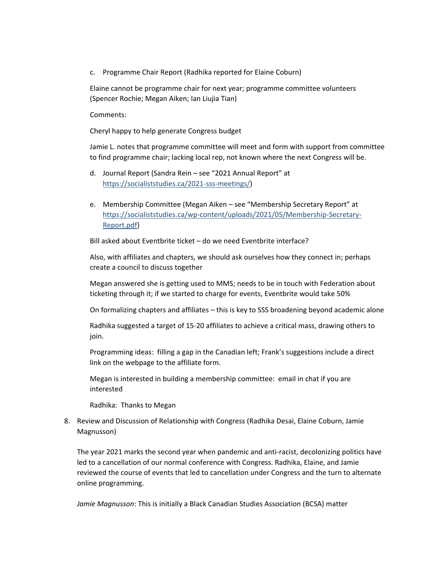c. Programme Chair Report (Radhika reported for Elaine Coburn)

Elaine cannot be programme chair for next year; programme committee volunteers (Spencer Rochie; Megan Aiken; Ian Liujia Tian)

Comments:

Cheryl happy to help generate Congress budget

Jamie L. notes that programme committee will meet and form with support from committee to find programme chair; lacking local rep, not known where the next Congress will be.

- d. Journal Report (Sandra Rein see "2021 Annual Report" at [https://socialiststudies.ca/2021-sss-meetings/\)](https://socialiststudies.ca/2021-sss-meetings/)
- e. Membership Committee (Megan Aiken see "Membership Secretary Report" at [https://socialiststudies.ca/wp-content/uploads/2021/05/Membership-Secretary-](https://socialiststudies.ca/wp-content/uploads/2021/05/Membership-Secretary-Report.pdf)[Report.pdf\)](https://socialiststudies.ca/wp-content/uploads/2021/05/Membership-Secretary-Report.pdf)

Bill asked about Eventbrite ticket – do we need Eventbrite interface?

Also, with affiliates and chapters, we should ask ourselves how they connect in; perhaps create a council to discuss together

Megan answered she is getting used to MMS; needs to be in touch with Federation about ticketing through it; if we started to charge for events, Eventbrite would take 50%

On formalizing chapters and affiliates – this is key to SSS broadening beyond academic alone

Radhika suggested a target of 15-20 affiliates to achieve a critical mass, drawing others to join.

Programming ideas: filling a gap in the Canadian left; Frank's suggestions include a direct link on the webpage to the affiliate form.

Megan is interested in building a membership committee: email in chat if you are interested

Radhika: Thanks to Megan

8. Review and Discussion of Relationship with Congress (Radhika Desai, Elaine Coburn, Jamie Magnusson)

The year 2021 marks the second year when pandemic and anti-racist, decolonizing politics have led to a cancellation of our normal conference with Congress. Radhika, Elaine, and Jamie reviewed the course of events that led to cancellation under Congress and the turn to alternate online programming.

*Jamie Magnusson*: This is initially a Black Canadian Studies Association (BCSA) matter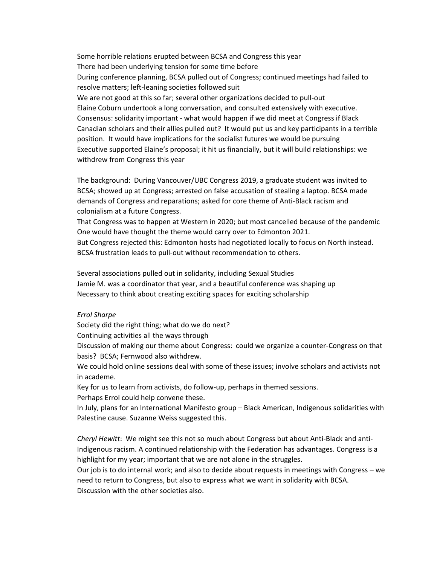Some horrible relations erupted between BCSA and Congress this year There had been underlying tension for some time before During conference planning, BCSA pulled out of Congress; continued meetings had failed to resolve matters; left-leaning societies followed suit We are not good at this so far; several other organizations decided to pull-out Elaine Coburn undertook a long conversation, and consulted extensively with executive. Consensus: solidarity important - what would happen if we did meet at Congress if Black Canadian scholars and their allies pulled out? It would put us and key participants in a terrible position. It would have implications for the socialist futures we would be pursuing Executive supported Elaine's proposal; it hit us financially, but it will build relationships: we withdrew from Congress this year

The background: During Vancouver/UBC Congress 2019, a graduate student was invited to BCSA; showed up at Congress; arrested on false accusation of stealing a laptop. BCSA made demands of Congress and reparations; asked for core theme of Anti-Black racism and colonialism at a future Congress.

That Congress was to happen at Western in 2020; but most cancelled because of the pandemic One would have thought the theme would carry over to Edmonton 2021.

But Congress rejected this: Edmonton hosts had negotiated locally to focus on North instead. BCSA frustration leads to pull-out without recommendation to others.

Several associations pulled out in solidarity, including Sexual Studies Jamie M. was a coordinator that year, and a beautiful conference was shaping up Necessary to think about creating exciting spaces for exciting scholarship

#### *Errol Sharpe*

Society did the right thing; what do we do next?

Continuing activities all the ways through

Discussion of making our theme about Congress: could we organize a counter-Congress on that basis? BCSA; Fernwood also withdrew.

We could hold online sessions deal with some of these issues; involve scholars and activists not in academe.

Key for us to learn from activists, do follow-up, perhaps in themed sessions.

Perhaps Errol could help convene these.

In July, plans for an International Manifesto group – Black American, Indigenous solidarities with Palestine cause. Suzanne Weiss suggested this.

*Cheryl Hewitt*: We might see this not so much about Congress but about Anti-Black and anti-Indigenous racism. A continued relationship with the Federation has advantages. Congress is a highlight for my year; important that we are not alone in the struggles.

Our job is to do internal work; and also to decide about requests in meetings with Congress – we need to return to Congress, but also to express what we want in solidarity with BCSA. Discussion with the other societies also.